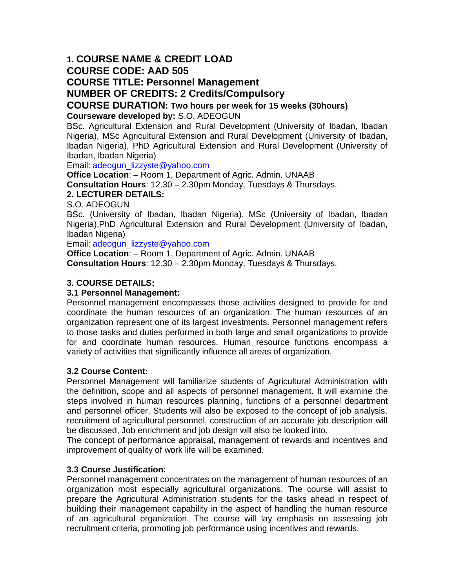# **1. COURSE NAME & CREDIT LOAD**

**COURSE CODE: AAD 505**

**COURSE TITLE: Personnel Management**

**NUMBER OF CREDITS: 2 Credits/Compulsory**

# **COURSE DURATION: Two hours per week for 15 weeks (30hours)**

**Courseware developed by:** S.O. ADEOGUN

BSc. Agricultural Extension and Rural Development (University of Ibadan, Ibadan Nigeria), MSc Agricultural Extension and Rural Development (University of Ibadan, Ibadan Nigeria), PhD Agricultural Extension and Rural Development (University of Ibadan, Ibadan Nigeria)

Email: adeogun\_lizzyste@yahoo.com

**Office Location**: – Room 1, Department of Agric. Admin. UNAAB **Consultation Hours**: 12.30 – 2.30pm Monday, Tuesdays & Thursdays.

## **2. LECTURER DETAILS:**

S.O. ADEOGUN

BSc. (University of Ibadan, Ibadan Nigeria), MSc (University of Ibadan, Ibadan Nigeria),PhD Agricultural Extension and Rural Development (University of Ibadan, Ibadan Nigeria)

Email: adeogun\_lizzyste@yahoo.com

**Office Location**: – Room 1, Department of Agric. Admin. UNAAB **Consultation Hours**: 12.30 – 2.30pm Monday, Tuesdays & Thursdays.

## **3. COURSE DETAILS:**

## **3.1 Personnel Management:**

Personnel management encompasses those activities designed to provide for and coordinate the human resources of an organization. The human resources of an organization represent one of its largest investments. Personnel management refers to those tasks and duties performed in both large and small organizations to provide for and coordinate human resources. Human resource functions encompass a variety of activities that significantly influence all areas of organization.

## **3.2 Course Content:**

Personnel Management will familiarize students of Agricultural Administration with the definition, scope and all aspects of personnel management. It will examine the steps involved in human resources planning, functions of a personnel department and personnel officer, Students will also be exposed to the concept of job analysis, recruitment of agricultural personnel, construction of an accurate job description will be discussed, Job enrichment and job design will also be looked into.

The concept of performance appraisal, management of rewards and incentives and improvement of quality of work life will be examined.

## **3.3 Course Justification:**

Personnel management concentrates on the management of human resources of an organization most especially agricultural organizations. The course will assist to prepare the Agricultural Administration students for the tasks ahead in respect of building their management capability in the aspect of handling the human resource of an agricultural organization. The course will lay emphasis on assessing job recruitment criteria, promoting job performance using incentives and rewards.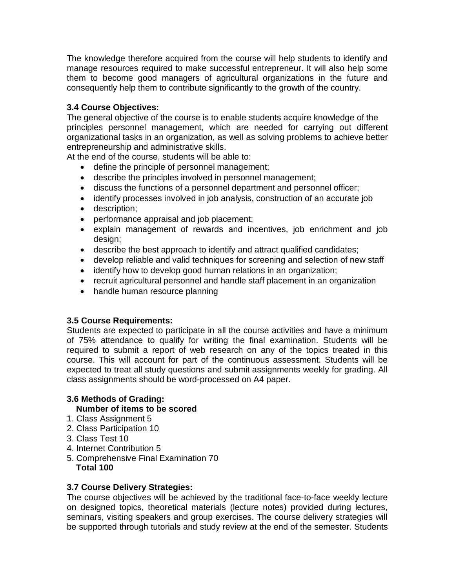The knowledge therefore acquired from the course will help students to identify and manage resources required to make successful entrepreneur. It will also help some them to become good managers of agricultural organizations in the future and consequently help them to contribute significantly to the growth of the country.

## **3.4 Course Objectives:**

The general objective of the course is to enable students acquire knowledge of the principles personnel management, which are needed for carrying out different organizational tasks in an organization, as well as solving problems to achieve better entrepreneurship and administrative skills.

At the end of the course, students will be able to:

- define the principle of personnel management;
- describe the principles involved in personnel management;
- discuss the functions of a personnel department and personnel officer;
- identify processes involved in job analysis, construction of an accurate job
- **•** description;
- performance appraisal and job placement;
- explain management of rewards and incentives, job enrichment and job design;
- describe the best approach to identify and attract qualified candidates;
- develop reliable and valid techniques for screening and selection of new staff
- identify how to develop good human relations in an organization;
- recruit agricultural personnel and handle staff placement in an organization
- handle human resource planning

## **3.5 Course Requirements:**

Students are expected to participate in all the course activities and have a minimum of 75% attendance to qualify for writing the final examination. Students will be required to submit a report of web research on any of the topics treated in this course. This will account for part of the continuous assessment. Students will be expected to treat all study questions and submit assignments weekly for grading. All class assignments should be word-processed on A4 paper.

# **3.6 Methods of Grading:**

# **Number of items to be scored**

- 1. Class Assignment 5
- 2. Class Participation 10
- 3. Class Test 10
- 4. Internet Contribution 5
- 5. Comprehensive Final Examination 70  **Total 100**

## **3.7 Course Delivery Strategies:**

The course objectives will be achieved by the traditional face-to-face weekly lecture on designed topics, theoretical materials (lecture notes) provided during lectures, seminars, visiting speakers and group exercises. The course delivery strategies will be supported through tutorials and study review at the end of the semester. Students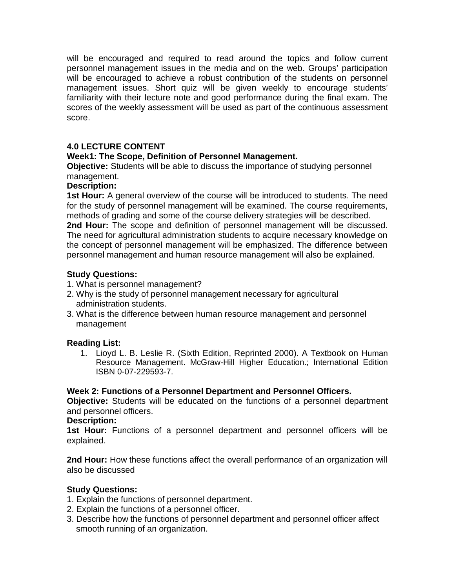will be encouraged and required to read around the topics and follow current personnel management issues in the media and on the web. Groups' participation will be encouraged to achieve a robust contribution of the students on personnel management issues. Short quiz will be given weekly to encourage students' familiarity with their lecture note and good performance during the final exam. The scores of the weekly assessment will be used as part of the continuous assessment score.

## **4.0 LECTURE CONTENT**

## **Week1: The Scope, Definition of Personnel Management.**

**Objective:** Students will be able to discuss the importance of studying personnel management.

## **Description:**

**1st Hour:** A general overview of the course will be introduced to students. The need for the study of personnel management will be examined. The course requirements, methods of grading and some of the course delivery strategies will be described. **2nd Hour:** The scope and definition of personnel management will be discussed. The need for agricultural administration students to acquire necessary knowledge on the concept of personnel management will be emphasized. The difference between personnel management and human resource management will also be explained.

## **Study Questions:**

- 1. What is personnel management?
- 2. Why is the study of personnel management necessary for agricultural administration students.
- 3. What is the difference between human resource management and personnel management

## **Reading List:**

1. Lioyd L. B. Leslie R. (Sixth Edition, Reprinted 2000). A Textbook on Human Resource Management. McGraw-Hill Higher Education.; International Edition ISBN 0-07-229593-7.

## **Week 2: Functions of a Personnel Department and Personnel Officers.**

**Objective:** Students will be educated on the functions of a personnel department and personnel officers.

#### **Description:**

**1st Hour:** Functions of a personnel department and personnel officers will be explained.

**2nd Hour:** How these functions affect the overall performance of an organization will also be discussed

## **Study Questions:**

- 1. Explain the functions of personnel department.
- 2. Explain the functions of a personnel officer.
- 3. Describe how the functions of personnel department and personnel officer affect smooth running of an organization.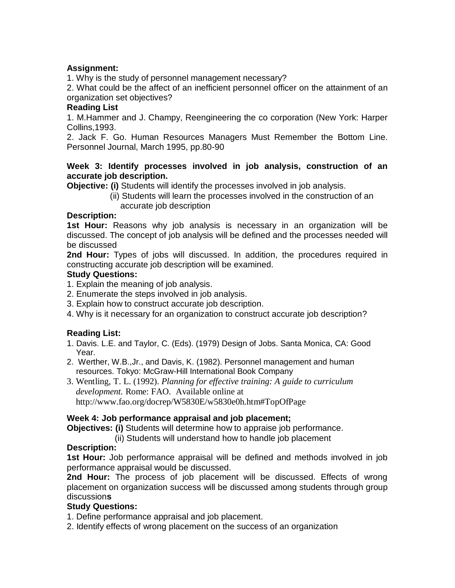## **Assignment:**

1. Why is the study of personnel management necessary?

2. What could be the affect of an inefficient personnel officer on the attainment of an organization set objectives?

#### **Reading List**

1. M.Hammer and J. Champy, Reengineering the co corporation (New York: Harper Collins,1993.

2. Jack F. Go. Human Resources Managers Must Remember the Bottom Line. Personnel Journal, March 1995, pp.80-90

#### **Week 3: Identify processes involved in job analysis, construction of an accurate job description.**

**Objective: (i)** Students will identify the processes involved in job analysis.

 (ii) Students will learn the processes involved in the construction of an accurate job description

#### **Description:**

**1st Hour:** Reasons why job analysis is necessary in an organization will be discussed. The concept of job analysis will be defined and the processes needed will be discussed

**2nd Hour:** Types of jobs will discussed. In addition, the procedures required in constructing accurate job description will be examined.

#### **Study Questions:**

- 1. Explain the meaning of job analysis.
- 2. Enumerate the steps involved in job analysis.
- 3. Explain how to construct accurate job description.
- 4. Why is it necessary for an organization to construct accurate job description?

## **Reading List:**

- 1. Davis. L.E. and Taylor, C. (Eds). (1979) Design of Jobs. Santa Monica, CA: Good Year.
- 2. Werther, W.B.,Jr., and Davis, K. (1982). Personnel management and human resources. Tokyo: McGraw-Hill International Book Company
- 3. Wentling, T. L. (1992). *Planning for effective training: A guide to curriculum development.* Rome: FAO. Available online at http://www.fao.org/docrep/W5830E/w5830e0h.htm#TopOfPage

## **Week 4: Job performance appraisal and job placement;**

**Objectives: (i)** Students will determine how to appraise job performance.

(ii) Students will understand how to handle job placement

## **Description:**

**1st Hour:** Job performance appraisal will be defined and methods involved in job performance appraisal would be discussed.

**2nd Hour:** The process of job placement will be discussed. Effects of wrong placement on organization success will be discussed among students through group discussion**s**

## **Study Questions:**

- 1. Define performance appraisal and job placement.
- 2. Identify effects of wrong placement on the success of an organization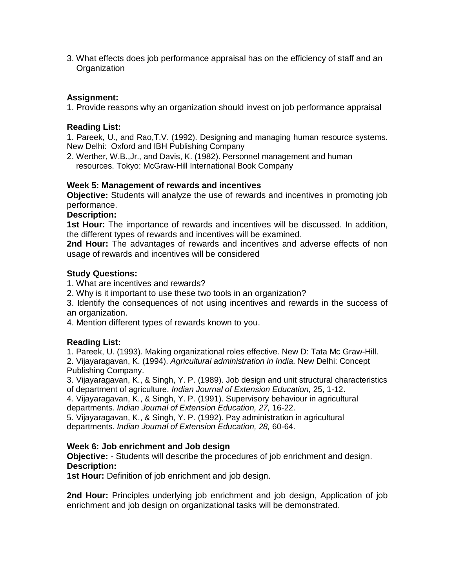3. What effects does job performance appraisal has on the efficiency of staff and an **Organization** 

## **Assignment:**

1. Provide reasons why an organization should invest on job performance appraisal

## **Reading List:**

1. Pareek, U., and Rao,T.V. (1992). Designing and managing human resource systems. New Delhi: Oxford and IBH Publishing Company

2. Werther, W.B.,Jr., and Davis, K. (1982). Personnel management and human resources. Tokyo: McGraw-Hill International Book Company

#### **Week 5: Management of rewards and incentives**

**Objective:** Students will analyze the use of rewards and incentives in promoting job performance.

#### **Description:**

**1st Hour:** The importance of rewards and incentives will be discussed. In addition, the different types of rewards and incentives will be examined.

**2nd Hour:** The advantages of rewards and incentives and adverse effects of non usage of rewards and incentives will be considered

#### **Study Questions:**

1. What are incentives and rewards?

2. Why is it important to use these two tools in an organization?

3. Identify the consequences of not using incentives and rewards in the success of an organization.

4. Mention different types of rewards known to you.

## **Reading List:**

1. Pareek, U. (1993). Making organizational roles effective. New D: Tata Mc Graw-Hill. 2. Vijayaragavan, K. (1994). *Agricultural administration in India.* New Delhi: Concept Publishing Company.

3. Vijayaragavan, K., & Singh, Y. P. (1989). Job design and unit structural characteristics of department of agriculture. *Indian Journal of Extension Education,* 25, 1-12.

4. Vijayaragavan, K., & Singh, Y. P. (1991). Supervisory behaviour in agricultural departments. *Indian Journal of Extension Education, 27,* 16-22.

5. Vijayaragavan, K., & Singh, Y. P. (1992). Pay administration in agricultural departments. *Indian Journal of Extension Education, 28,* 60-64.

## **Week 6: Job enrichment and Job design**

**Objective:** - Students will describe the procedures of job enrichment and design. **Description:**

**1st Hour:** Definition of job enrichment and job design.

**2nd Hour:** Principles underlying job enrichment and job design, Application of job enrichment and job design on organizational tasks will be demonstrated.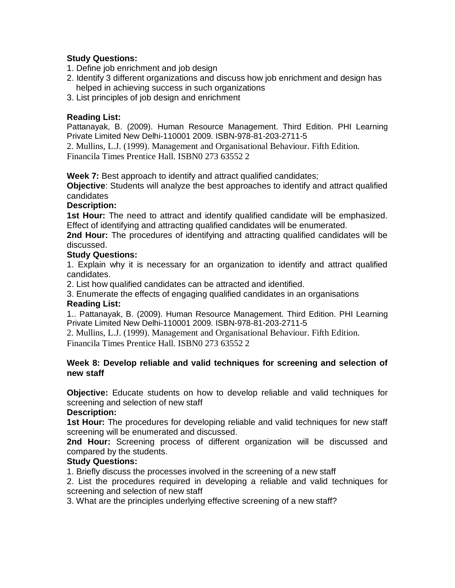## **Study Questions:**

- 1. Define job enrichment and job design
- 2. Identify 3 different organizations and discuss how job enrichment and design has helped in achieving success in such organizations
- 3. List principles of job design and enrichment

## **Reading List:**

Pattanayak, B. (2009). Human Resource Management. Third Edition. PHI Learning Private Limited New Delhi-110001 2009. ISBN-978-81-203-2711-5

2. Mullins, L.J. (1999). Management and Organisational Behaviour. Fifth Edition. Financila Times Prentice Hall. ISBN0 273 63552 2

**Week 7:** Best approach to identify and attract qualified candidates;

**Objective**: Students will analyze the best approaches to identify and attract qualified candidates

## **Description:**

**1st Hour:** The need to attract and identify qualified candidate will be emphasized. Effect of identifying and attracting qualified candidates will be enumerated.

**2nd Hour:** The procedures of identifying and attracting qualified candidates will be discussed.

#### **Study Questions:**

1. Explain why it is necessary for an organization to identify and attract qualified candidates.

2. List how qualified candidates can be attracted and identified.

3. Enumerate the effects of engaging qualified candidates in an organisations **Reading List:**

1.. Pattanayak, B. (2009). Human Resource Management. Third Edition. PHI Learning Private Limited New Delhi-110001 2009. ISBN-978-81-203-2711-5

2. Mullins, L.J. (1999). Management and Organisational Behaviour. Fifth Edition. Financila Times Prentice Hall. ISBN0 273 63552 2

#### **Week 8: Develop reliable and valid techniques for screening and selection of new staff**

**Objective:** Educate students on how to develop reliable and valid techniques for screening and selection of new staff

## **Description:**

**1st Hour:** The procedures for developing reliable and valid techniques for new staff screening will be enumerated and discussed.

**2nd Hour:** Screening process of different organization will be discussed and compared by the students.

## **Study Questions:**

1. Briefly discuss the processes involved in the screening of a new staff

2. List the procedures required in developing a reliable and valid techniques for screening and selection of new staff

3. What are the principles underlying effective screening of a new staff?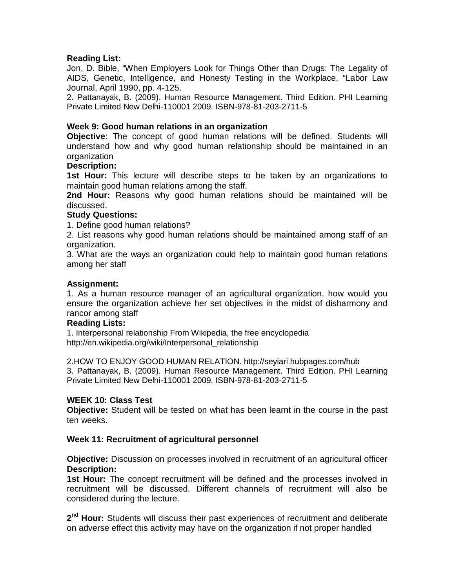#### **Reading List:**

Jon, D. Bible, "When Employers Look for Things Other than Drugs: The Legality of AIDS, Genetic, Intelligence, and Honesty Testing in the Workplace, "Labor Law Journal, April 1990, pp. 4-125.

2. Pattanayak, B. (2009). Human Resource Management. Third Edition. PHI Learning Private Limited New Delhi-110001 2009. ISBN-978-81-203-2711-5

#### **Week 9: Good human relations in an organization**

**Objective**: The concept of good human relations will be defined. Students will understand how and why good human relationship should be maintained in an organization

#### **Description:**

**1st Hour:** This lecture will describe steps to be taken by an organizations to maintain good human relations among the staff.

**2nd Hour:** Reasons why good human relations should be maintained will be discussed.

#### **Study Questions:**

1. Define good human relations?

2. List reasons why good human relations should be maintained among staff of an organization.

3. What are the ways an organization could help to maintain good human relations among her staff

#### **Assignment:**

1. As a human resource manager of an agricultural organization, how would you ensure the organization achieve her set objectives in the midst of disharmony and rancor among staff

#### **Reading Lists:**

1. Interpersonal relationship From Wikipedia, the free encyclopedia http://en.wikipedia.org/wiki/Interpersonal\_relationship

2.HOW TO ENJOY GOOD HUMAN RELATION. http://seyiari.hubpages.com/hub 3. Pattanayak, B. (2009). Human Resource Management. Third Edition. PHI Learning Private Limited New Delhi-110001 2009. ISBN-978-81-203-2711-5

#### **WEEK 10: Class Test**

**Objective:** Student will be tested on what has been learnt in the course in the past ten weeks.

#### **Week 11: Recruitment of agricultural personnel**

**Objective:** Discussion on processes involved in recruitment of an agricultural officer **Description:**

**1st Hour:** The concept recruitment will be defined and the processes involved in recruitment will be discussed. Different channels of recruitment will also be considered during the lecture.

2<sup>nd</sup> Hour: Students will discuss their past experiences of recruitment and deliberate on adverse effect this activity may have on the organization if not proper handled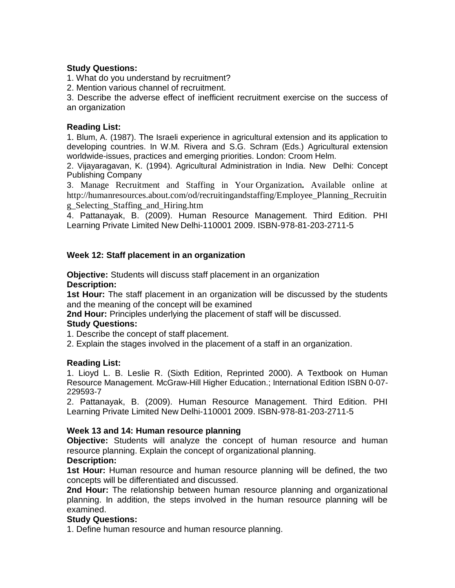#### **Study Questions:**

1. What do you understand by recruitment?

2. Mention various channel of recruitment.

3. Describe the adverse effect of inefficient recruitment exercise on the success of an organization

#### **Reading List:**

1. Blum, A. (1987). The Israeli experience in agricultural extension and its application to developing countries. In W.M. Rivera and S.G. Schram (Eds.) Agricultural extension worldwide-issues, practices and emerging priorities. London: Croom Helm.

2. Vijayaragavan, K. (1994). Agricultural Administration in India. New Delhi: Concept Publishing Company

3. Manage Recruitment and Staffing in Your Organization**.** Available online at http://humanresources.about.com/od/recruitingandstaffing/Employee\_Planning\_Recruitin g\_Selecting\_Staffing\_and\_Hiring.htm

4. Pattanayak, B. (2009). Human Resource Management. Third Edition. PHI Learning Private Limited New Delhi-110001 2009. ISBN-978-81-203-2711-5

#### **Week 12: Staff placement in an organization**

**Objective:** Students will discuss staff placement in an organization **Description:**

**1st Hour:** The staff placement in an organization will be discussed by the students and the meaning of the concept will be examined

**2nd Hour:** Principles underlying the placement of staff will be discussed.

#### **Study Questions:**

1. Describe the concept of staff placement.

2. Explain the stages involved in the placement of a staff in an organization.

#### **Reading List:**

1. Lioyd L. B. Leslie R. (Sixth Edition, Reprinted 2000). A Textbook on Human Resource Management. McGraw-Hill Higher Education.; International Edition ISBN 0-07- 229593-7

2. Pattanayak, B. (2009). Human Resource Management. Third Edition. PHI Learning Private Limited New Delhi-110001 2009. ISBN-978-81-203-2711-5

#### **Week 13 and 14: Human resource planning**

**Objective:** Students will analyze the concept of human resource and human resource planning. Explain the concept of organizational planning.

## **Description:**

**1st Hour:** Human resource and human resource planning will be defined, the two concepts will be differentiated and discussed.

**2nd Hour:** The relationship between human resource planning and organizational planning. In addition, the steps involved in the human resource planning will be examined.

## **Study Questions:**

1. Define human resource and human resource planning.